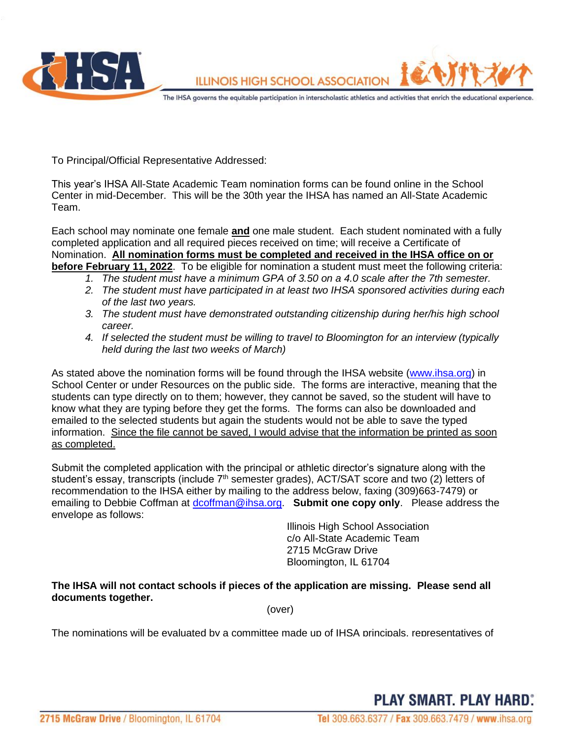

To Principal/Official Representative Addressed:

This year's IHSA All-State Academic Team nomination forms can be found online in the School Center in mid-December. This will be the 30th year the IHSA has named an All-State Academic Team.

Each school may nominate one female **and** one male student. Each student nominated with a fully completed application and all required pieces received on time; will receive a Certificate of Nomination. **All nomination forms must be completed and received in the IHSA office on or before February 11, 2022**. To be eligible for nomination a student must meet the following criteria:

- *1. The student must have a minimum GPA of 3.50 on a 4.0 scale after the 7th semester.*
- *2. The student must have participated in at least two IHSA sponsored activities during each of the last two years.*
- *3. The student must have demonstrated outstanding citizenship during her/his high school career.*
- *4. If selected the student must be willing to travel to Bloomington for an interview (typically held during the last two weeks of March)*

As stated above the nomination forms will be found through the IHSA website [\(www.ihsa.org\)](http://www.ihsa.org/) in School Center or under Resources on the public side. The forms are interactive, meaning that the students can type directly on to them; however, they cannot be saved, so the student will have to know what they are typing before they get the forms. The forms can also be downloaded and emailed to the selected students but again the students would not be able to save the typed information. Since the file cannot be saved, I would advise that the information be printed as soon as completed.

Submit the completed application with the principal or athletic director's signature along with the student's essay, transcripts (include 7<sup>th</sup> semester grades), ACT/SAT score and two (2) letters of recommendation to the IHSA either by mailing to the address below, faxing (309)663-7479) or emailing to Debbie Coffman at [dcoffman@ihsa.org.](mailto:dcoffman@ihsa.org) **Submit one copy only**. Please address the envelope as follows:

> Illinois High School Association c/o All-State Academic Team 2715 McGraw Drive Bloomington, IL 61704

## **The IHSA will not contact schools if pieces of the application are missing. Please send all documents together.**

(over)

The nominations will be evaluated by a committee made up of IHSA principals, representatives of

**PLAY SMART, PLAY HARD:**